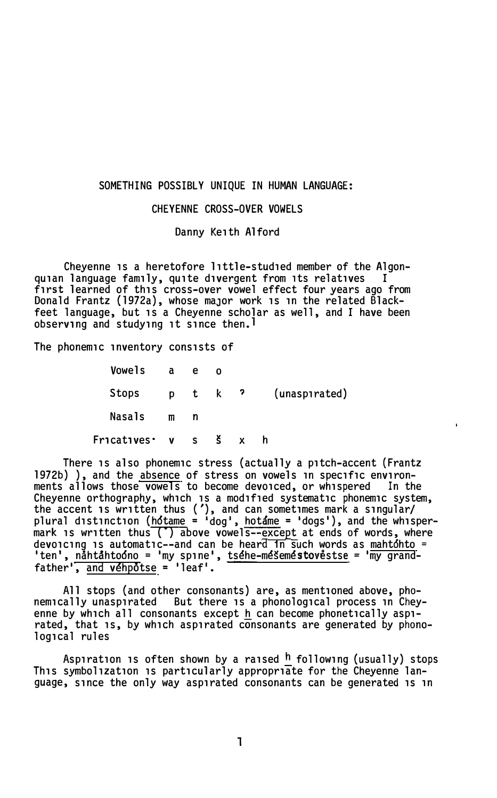### SOMETHING POSSIBLY UNIQUE IN HUMAN LANGUAGE:

## CHEYENNE CROSS-OVER VOWELS

Danny Keith Alford

Cheyenne is a heretofore little-studied member of the Algon-<br>Clanguage family, quite divergent from its relatives quian language family, quite divergent from its relatives first learned of this cross-over vowel effect four years ago from Donald Frantz (1972a), whose maJor work 1s 1n the related Blackfeet language, but 1s a Cheyenne scholar as well, and I have been observing and studying it since then.<sup>1</sup>

The phonemic inventory consists of

| Fricatives v s š x |                |      |   |               |
|--------------------|----------------|------|---|---------------|
| Nasals             | m              | n    |   |               |
| Stops              |                | ptk? |   | (unaspirated) |
| Vowels             | $\overline{a}$ | e    | Ω |               |

There 1s also phonemic stress (actually a pitch-accent (Frantz 1972b) ), and the absence of stress on vowels in specific environ-<br>ments allows those vowels to become devoiced, or whispered In the ments allows those vowels to become devoiced, or whispered Cheyenne orthography, which 1s a mod1f1ed systematic phonemic system, the accent 1s written thus ('), and can sometimes mark a singular/ plural distinction (<u>hotame</u> = <sup>i</sup>dog', <u>hotame</u> = 'dogs'), and the whispermark is written thus (\*) above vowels--except at ends of words, where<br>devoicing is automatic--and can be beard in such words as mahtóbto = devoicing is automatic--and can be heard in such words as mahtohto = 'ten', nahtahtoóno = 'my spine', tsehe-mešemestovestse = 'my grandfather', and vehpotse = 'leaf'.

All stops (and other consonants) are, as mentioned above, phonemically unaspirated But there is a phonological process in Cheyenne by which all consonants except h can become phonetically aspirated, that 1s, by which aspirated consonants are generated by phonological rules

Aspiration is often shown by a raised  $h$  following (usually) stops This symbol1zat1on 1s particularly appropriate for the Cheyenne language, since the only way aspirated consonants can be generated 1s 1n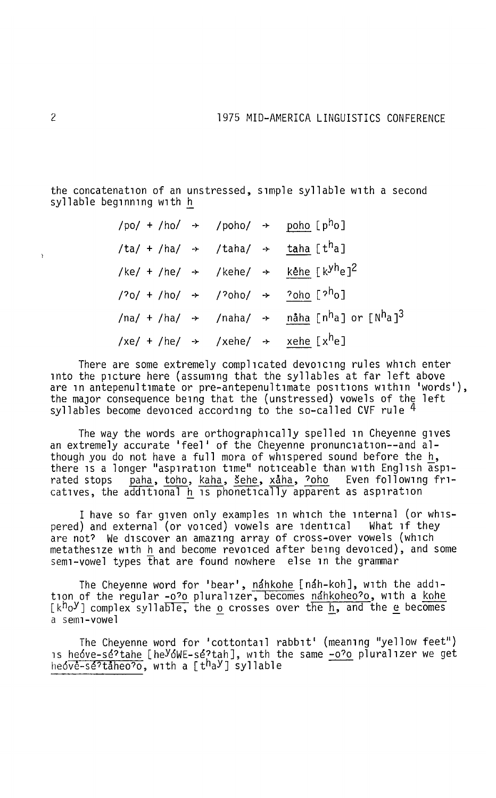the concatenation of an unstressed, simple syllable with a second syllable beginning with h

| /po/ + /ho/ $\rightarrow$ /poho/ $\rightarrow$ poho [p <sup>h</sup> o]                                       |  |                                                                                                           |
|--------------------------------------------------------------------------------------------------------------|--|-----------------------------------------------------------------------------------------------------------|
| /ta/ + /ha/ $\rightarrow$ /taha/ $\rightarrow$ taha [t <sup>h</sup> a]                                       |  |                                                                                                           |
|                                                                                                              |  | /ke/ + /he/ $\rightarrow$ /kehe/ $\rightarrow$ kehe [k <sup>yh</sup> e] <sup>2</sup>                      |
| / <sup>2</sup> o/ + /ho/ $\rightarrow$ / <sup>2</sup> oho/ $\rightarrow$ <sup>2</sup> oho [ <sup>2h</sup> o] |  |                                                                                                           |
|                                                                                                              |  | /na/ + /ha/ $\rightarrow$ /naha/ $\rightarrow$ nåha [n <sup>h</sup> a] or [N <sup>h</sup> a] <sup>3</sup> |
| $/xe/ + /he/$ $\rightarrow$ $/xehe/$ $\rightarrow$ $xehe [x^he]$                                             |  |                                                                                                           |

There are some extremely complicated devoicing rules which enter into the picture here (assuming that the syllables at far left above are in antepenultimate or pre-antepenultimate positions within 'words'), the maJor consequence being that the (unstressed) vowels of the left syllables become devoiced according to the so-called CVF rule 4

The way the words are orthographically spelled in Cheyenne gives an extremely accurate 'feel' of the Chevenne pronunciation--and although you do not have a full mora of whispered sound before the h, there is a longer "aspiration time" noticeable than with English  $\frac{11}{9}$ rated stops paha, toho, kaha, sehe, xaha, ?oho Even following fricatives, the  $\alpha$ dditional h is phonetically apparent as aspiration

<sup>I</sup>have so far given only examples in which the internal (or whispered) and external (or voiced) vowels are identical are not? We discover an amazing array of cross-over vowels (which metathesize with hand become revoiced after being devoiced), and some semi-vowel types that are found nowhere else in the grammar

The Cheyenne word for 'bear', nahkohe [nah-koh], with the addition of the regular -o?o pluralizer, becomes nahkoheo?o, with a kohe  $[k^h \circ Y]$  complex syllable, the o crosses over the h, and the e becomes a semi-vowel

The Cheyenne word for 'cottontail rabbit' (meaning "yellow feet") is <u>he6ve-se?tahe</u> [he<sup>y</sup>6WE-se?tah], with the same -o?o pluralizer we get<br>he6ve-se?taheo?o, with a [t<sup>h</sup>a<sup>y</sup>] syllable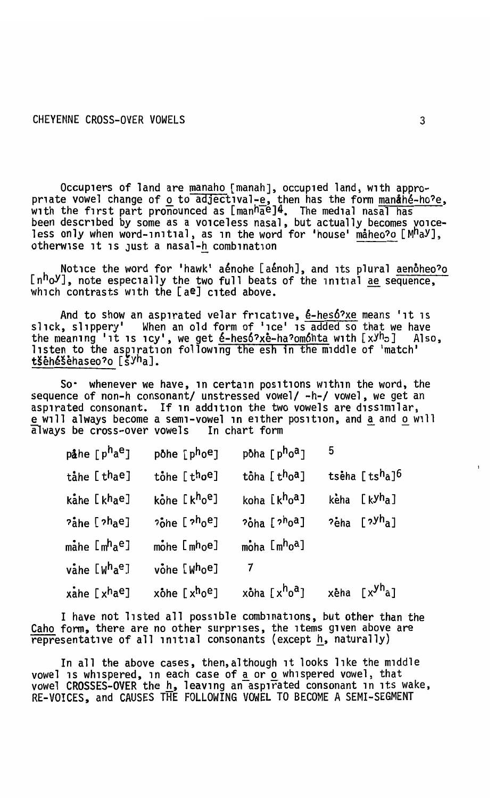Occupiers of land are manaho [manah], occupied land, with appropriate vowel change of <u>o</u> to adjectival-e, then has the form manufable-ho<sup>2</sup>e,<br>with the first part pronounced as  $[\text{man}^h\bar{a}e^2]^4$ . The medial nasal has<br>been described by some as a voiceless nasal, but actually becomes

Notice the word for 'hawk' aénohe [aénoh], and its plural aenoheo?o [n<sup>h</sup>o<sup>y</sup>], note especially the two full beats of the initial ae sequence, which contrasts with the [ae] cited above.

And to show an aspirated velar fricative, é-hesó?xe means 'it is slick, slippery' When an old form of 'ice' is added so that we have the meaning 'it is icy', we get  $\acute{e}$ -heso?x $\acute{e}$ -ha?omonta with  $[xyh_0]$  Also, listen to the aspiration following the esh in the middle of 'match' tšėhéšėhaseo?o [šyha].

So. whenever we have, in certain positions within the word, the sequence of non-h consonant/ unstressed vowel/ -h-/ vowel, we get an aspirated consonant. If in addition the two vowels are dissimilar. e will always become a semi-vowel in either position, and a and o will always be cross-over vowels In chart form

| påhe [p <sup>h</sup> a <sup>e</sup> ] | pohe [p <sup>h</sup> o <sup>e</sup> ]             | pôha [p <sup>h</sup> o <sup>a</sup> ] | 5 |                                      |
|---------------------------------------|---------------------------------------------------|---------------------------------------|---|--------------------------------------|
| tåhe [thae]                           | tohe [thoe]                                       | tôha [t <sup>h</sup> o <sup>a</sup> ] |   | tsèha [tsha]6                        |
| kåhe [khae]                           | kohe [khoe]                                       | koha [k <sup>h</sup> o <sup>a</sup> ] |   | keha [k <sup>yh</sup> a]             |
| <sup>2</sup> ahe [2hae]               | <sup>2</sup> ohe [ <sup>2h</sup> o <sup>e</sup> ] | ?ona [? <sup>h</sup> oª]              |   | <sup>2</sup> eha [ <sup>2yh</sup> a] |
| måhe [mʰaº]                           | mone [mhoe]                                       | moha [m <sup>h</sup> o <sup>a</sup> ] |   |                                      |
| våhe [W <sup>h</sup> a <sup>e</sup> ] | vohe [Whoe]                                       |                                       |   |                                      |
| xahe [xhae]                           | xohe [xhoe]                                       | xôha [x <sup>h</sup> o <sup>a</sup> ] |   | xeha [x <sup>yh</sup> a]             |

I have not listed all possible combinations, but other than the Caho form, there are no other surprises, the items given above are representative of all initial consonants (except h, naturally)

In all the above cases, then, although it looks like the middle vowel is whispered, in each case of a or o whispered vowel, that vowel CROSSES-OVER the h, leaving an aspirated consonant in its wake,<br>RE-VOICES, and CAUSES THE FOLLOWING VOWEL TO BECOME A SEMI-SEGMENT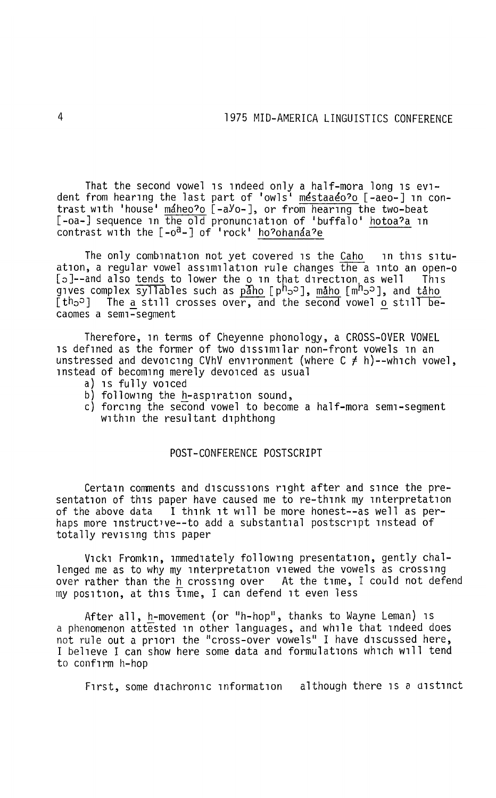That the second vowel is indeed only a half-mora long is evident from hearing the last part of 'owls<sup>i</sup> <u>méstaaéo?o</u> [-aeo-] in contrast with 'house' máheo?o [-aYo-], or from hearing the two-beat [-oa-] sequence in the old pronunciation of 'buffalo' hotoa?a in contrast with the  $[-o^a-]$  of 'rock' ho?ohanáa?e

The only combination not yet covered is the Caho in this situation, a regular vowel assimilation rule changes the a into an open-o<br>[p]--and also tends to lower the o in that direction as well This  $[5]$ --and also tends to lower the o in that direction as well gives complex syllables such as paho [ph^p], maho [mh^p^], and taho  $[th<sub>o</sub>]<sup>th</sup>$  The a still crosses over, and the second vowel  $o$  still becaomes a semi-segment

Therefore, in terms of Cheyenne phonology, a CROSS-OVER VOWEL is defined as the former of two dissimilar non-front vowels in an unstressed and devoicing CVhV environment (where C  $\neq$  h)--which vowel, instead of becoming merely devoiced as usual

- a) is fully voiced
- b) following the h-aspiration sound,
- c) forcing the second vowel to become a half-mora semi-segment within the resultant diphthong

## POST-CONFERENCE POSTSCRIPT

Certain comments and discussions right after and since the presentation of this paper have caused me to re-think my interpretation of the above data <sup>I</sup> i think it will be more honest--as well as per-<br>haps more instructive--to add a substantial postscript instead of totally revising this paper

Vicki Fromkin, immediately following presentation, gently challenged me as to why my interpretation viewed the vowels as crossing over rather than the h crossing over At the time, I could not defend  $mv$  position, at this time, I can defend it even less

After all, h-movement (or "h-hop", thanks to Wayne Leman) is a phenomenon attested in other languages, and while that indeed does not rule out a priori the "cross-over vowels" I have discussed here, I believe I can show here some data and formulations which will tend to confirm h-hop

First, some diachronic information although there is *a* distinct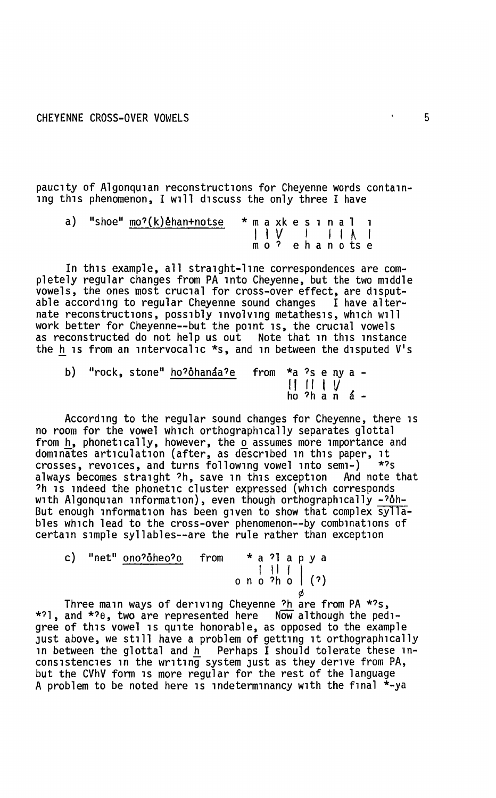paucity of Algonquian reconstructions for Cheyenne words containing this phenomenon, I will discuss the only three I have

a) "shoe" mo?(k)~han+notse \* m a xk e s i n a l i I l *V* I I I ~ I m o ? e h a n o ts e

In this example, all straight-line correspondences are completely regular changes from PA into Cheyenne, but the two middle vowels, the ones most crucial for cross-over effect, are disput- able according to regular Cheyenne sound changes I have alternate reconstructions, possibly involving metathesis, which will work better for Cheyenne--but the point is, the crucial vowels as reconstructed do not help us out Note that in this instance the h is from an intervocalic  $*_s$ , and in between the disputed V's

|  | b) "rock, stone" ho?ôhanáa?e   from  *a ?s e ny a - |                                                                                                                                                                                                                                                                                                                                                                               |  |  |  |
|--|-----------------------------------------------------|-------------------------------------------------------------------------------------------------------------------------------------------------------------------------------------------------------------------------------------------------------------------------------------------------------------------------------------------------------------------------------|--|--|--|
|  |                                                     | $\begin{array}{c} \n\begin{array}{ccc} \n\begin{array}{ccc} \n\end{array} & \n\begin{array}{ccc} \n\end{array} & \n\begin{array}{ccc} \n\end{array} & \n\begin{array}{ccc} \n\end{array} & \n\begin{array}{ccc} \n\end{array} & \n\begin{array}{ccc} \n\end{array} & \n\end{array} & \n\begin{array}{ccc} \n\end{array} & \n\begin{array}{ccc} \n\end{array} & \n\end{array}$ |  |  |  |

According to the regular sound changes for Cheyenne, there is<br>no room for the yowel which orthographically separates glottal from h, phonetically, however, the o assumes more importance and dominates articulation (after, as described in this paper, it crosses, revoices, and turns following vowel into semi-) \*?s always becomes straight ?h, save in this exception And note that ?h is indeed the phonetic cluster expressed (which corresponds with Algonquian information), even though orthographically -?oh-But enough information has been given to show that complex syllables which lead to the cross-over phenomenon--by combinations of certain simple syllables--are the rule rather than exception

c) "net"  $ono?o'heo?o$  from  $* a ? a p y a$ \* a ? I a p y a<br>| | | |<br>| 0 n o ?h o | (?)

¢ Three main ways of deriving Cheyenne ?h are from PA \*?s, \*?l, and \*?e, two are represented here Now although the pedigree of this vowel is quite honorable, as opposed to the example Just above, we still have a problem of getting it orthographically in between the glottal and  $h$  Perhaps I should tolerate these inconsistencies in the writing system Just as they derive from PA, but the CVhV form is more regular for the rest of the language A problem to be noted here is indeterminancy with the final  $\dot{x}$ -ya

 $\mathbf{r}$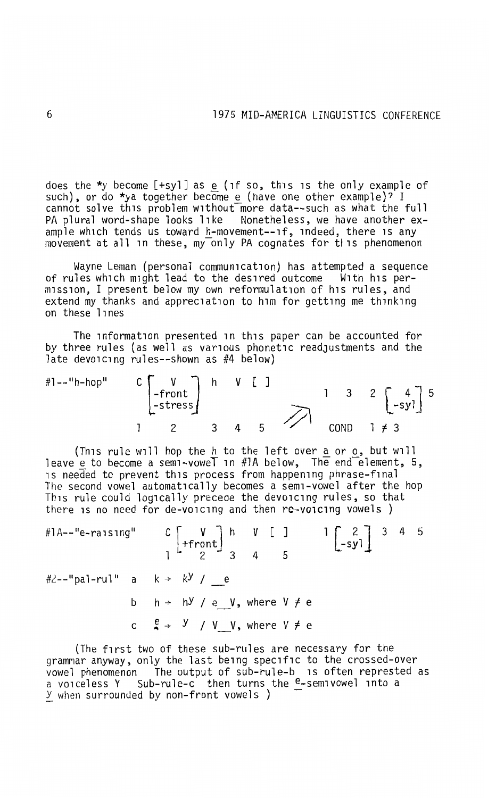does the \*y become  $[+sy1]$  as e (if so, this is the only example of such), or do \*ya together become e (have one other example)? I cannot solve this problem without more data--such as what the full PA plural word-shape looks like Nonetheless, we have another example which tends us toward h-movement--if, indeed, there is any movement at all in these, my only PA cognates for this phenomenon

Wayne Leman (personal communication) has attempted a sequence<br>of rules which might lead to the desired outcome With his per-<br>mission, I present below my own reformulation of his rules, and extend my thanks and appreciation to him for getting me thinking on these lines

The information presented in this paper can be accounted for by three rules (as well as various phonetic readJustments and the late devoicing rules--shown as #4 below)

 $#1 -- "h-hop"$  $C$   $\begin{bmatrix} V \\ -front \\ -stress \end{bmatrix}$  h v [ ] 3 2 3 4 5 COND

(This rule will hop the <u>h</u> to the left over <u>a</u> or <u>o</u>, but will leave  ${\rm e}$  to become a semi-vowe $\overline{\ }$  in #1A below, The end $\overline{\ }$ element, 5, is needed to prevent this process from happening phrase-final The second vowel automatically becomes a semi-vowel after the hop This rule could logically preceae the devoicing rules, so that there is no need for de-voicing and then re-voicing vowels )

| #1A--"e-raising" C $\begin{bmatrix} V \\ + \text{front} \end{bmatrix}$ h V [ ] 1 $\begin{bmatrix} 2 \\ -syl \end{bmatrix}$ 3 4 5 |  |  |  |                                                                     |  |  |  |  |  |
|----------------------------------------------------------------------------------------------------------------------------------|--|--|--|---------------------------------------------------------------------|--|--|--|--|--|
| #2--"pal-rul" a k→ k <sup>y</sup> / e                                                                                            |  |  |  |                                                                     |  |  |  |  |  |
|                                                                                                                                  |  |  |  | b $h \rightarrow h^y / e$ V, where $V \neq e$                       |  |  |  |  |  |
|                                                                                                                                  |  |  |  | c $\frac{e}{4}$ $\rightarrow$ $\frac{y}{y}$ / V V, where V $\neq$ e |  |  |  |  |  |

(The first two of these sub-rules are necessary for the grammar anyway, only the last being specific to the crossed-over vowel phenomenon The output of sub-rule-b is often represted as a voiceless Y Sub-rule-c then turns the e-semivowel into a *Y* when surrounded by non-front vowels )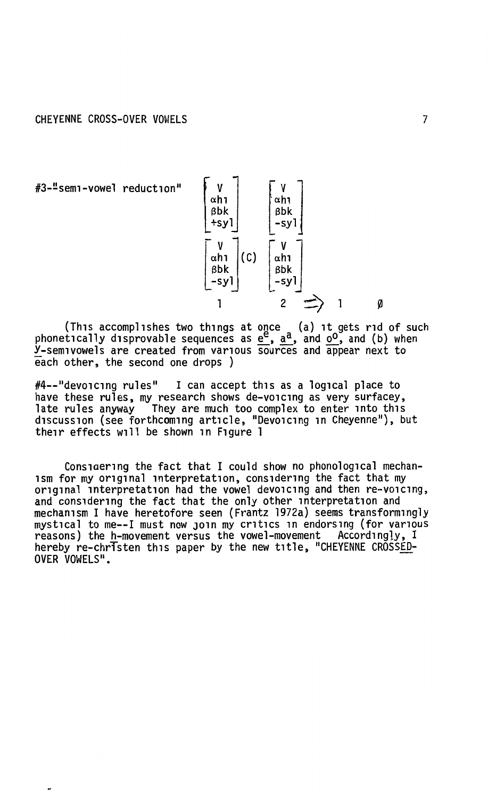#3-"semi-vowel reduction"

 $\overline{\phantom{a}}$ 



(This accomplishes two things at once (a) it gets rid of such phonetically disprovable sequences as  $\underline{e}^E$ ,  $\underline{a}^a$ , and  $\underline{0}^0$ , and (b) when y-semivowels are created from various sources and appear next to each other, the second one drops)

#4--"devoicing rules" I can accept this as a logical place to have these rules, my research shows de-voicing as very surfacey, late rules anyway They are much too complex to enter into this<br>discussion (see forthcoming article, "Devoicing in Cheyenne"), but their effects will be shown in Figure 1

Considering the fact that I could show no phonological mechanism for my original interpretation, considering the fact that my original interpretation had the vowel devoicing and then re-voicing, and considering the fact that the only other interpretation and mechanism I have heretofore seen (Frantz 1972a) seems transformingly mystical to me--I must now join my critics in endorsing (for various reasons) the h-movement versus the vowel-movement Accordingly, I hereby re-christen this paper by the new title, "CHEYENNE CROSSED-OVER VOWELS".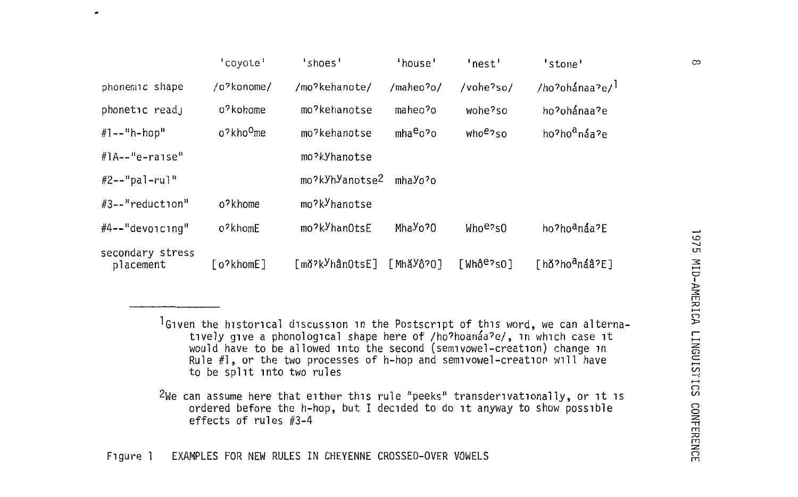|                               | 'coyote'              | 'shoes'                     | 'house'                          | 'nest'                 | 'stone'                  |
|-------------------------------|-----------------------|-----------------------------|----------------------------------|------------------------|--------------------------|
| phonemic shape                | /o?konome/            | /mo?kehanote/               | /maheo?o/                        | /vohe?so/              | /ho?ohánaa?e/            |
| phonetic read,                | o'kohome              | mo?kehanotse                | maheo?o                          | wohe?so                | ho?ohánaa?e              |
| $#1 - -"h - hop"$             | o?kho <sup>O</sup> me | mo?kehanotse                | mha <sup>e</sup> o?o             | who <sup>e</sup> ?so   | ho?ho <sup>a</sup> náa?e |
| $\#$ l $A$ --"e-raise"        |                       | mo?kYhanotse                |                                  |                        |                          |
| $#2 -- "pal - ru]$            |                       | mo?kyhyanotse2              | mhayo?o                          |                        |                          |
| #3--"reduction"               | o?khome               | mo?k <sup>y</sup> hanotse   |                                  |                        |                          |
| $#4--"devo1c1nq"$             | o?khomE               | mo?k <sup>y</sup> hanOtsE   | Mha <sup>y</sup> o <sup>20</sup> | Whoe?s0                | ho?hoªnáa?E              |
| secondary stress<br>placement | [o?khomE]             | [mǒʔk <sup>y</sup> hânOtsE] | [MhǎYô?O]                        | [Whô <sup>e</sup> ?sO] | [hǒ?hoªnáâ?E]            |

 $1$ Given the historical discussion in the Postscript of this word, we can alternatively give a phonological shape here of /ho?hoanaa?e/, in which case it would have to be allowed into the second (semivowel-creation) change in Rule  $#1$ , or the two processes of h-hop and semivowel-creation will have to be split into two rules

 $2$ We can assume here that either this rule "peeks" transderivationally, or it is ordered before the h-hop, but I decided to do it anyway to show possible effects of rules #3-4

 $\overline{a}$